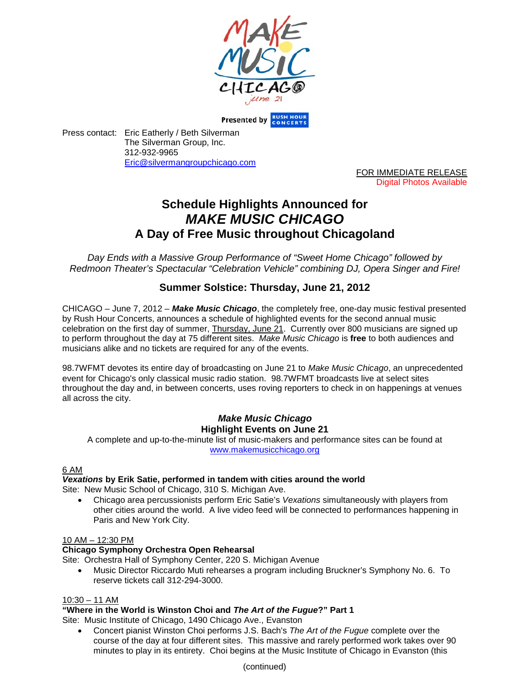

Presented by RUSH HOU

Press contact: Eric Eatherly / Beth Silverman The Silverman Group, Inc. 312-932-9965 Eric@silvermangroupchicago.com

> FOR IMMEDIATE RELEASE Digital Photos Available

# **Schedule Highlights Announced for** *MAKE MUSIC CHICAGO* **A Day of Free Music throughout Chicagoland**

*Day Ends with a Massive Group Performance of "Sweet Home Chicago" followed by Redmoon Theater's Spectacular "Celebration Vehicle" combining DJ, Opera Singer and Fire!*

# **Summer Solstice: Thursday, June 21, 2012**

CHICAGO – June 7, 2012 – *Make Music Chicago*, the completely free, one-day music festival presented by Rush Hour Concerts, announces a schedule of highlighted events for the second annual music celebration on the first day of summer, Thursday, June 21. Currently over 800 musicians are signed up to perform throughout the day at 75 different sites. *Make Music Chicago* is **free** to both audiences and musicians alike and no tickets are required for any of the events.

98.7WFMT devotes its entire day of broadcasting on June 21 to *Make Music Chicago*, an unprecedented event for Chicago's only classical music radio station. 98.7WFMT broadcasts live at select sites throughout the day and, in between concerts, uses roving reporters to check in on happenings at venues all across the city.

# *Make Music Chicago* **Highlight Events on June 21**

A complete and up-to-the-minute list of music-makers and performance sites can be found at www.makemusicchicago.org

# 6 AM

# *Vexations* **by Erik Satie, performed in tandem with cities around the world**

Site: New Music School of Chicago, 310 S. Michigan Ave.

 Chicago area percussionists perform Eric Satie's *Vexations* simultaneously with players from other cities around the world. A live video feed will be connected to performances happening in Paris and New York City.

# 10 AM – 12:30 PM

# **Chicago Symphony Orchestra Open Rehearsal**

Site: Orchestra Hall of Symphony Center, 220 S. Michigan Avenue

 Music Director Riccardo Muti rehearses a program including Bruckner's Symphony No. 6. To reserve tickets call 312-294-3000.

# 10:30 – 11 AM

# **"Where in the World is Winston Choi and** *The Art of the Fugue***?" Part 1**

Site: Music Institute of Chicago, 1490 Chicago Ave., Evanston

 Concert pianist Winston Choi performs J.S. Bach's *The Art of the Fugue* complete over the course of the day at four different sites. This massive and rarely performed work takes over 90 minutes to play in its entirety. Choi begins at the Music Institute of Chicago in Evanston (this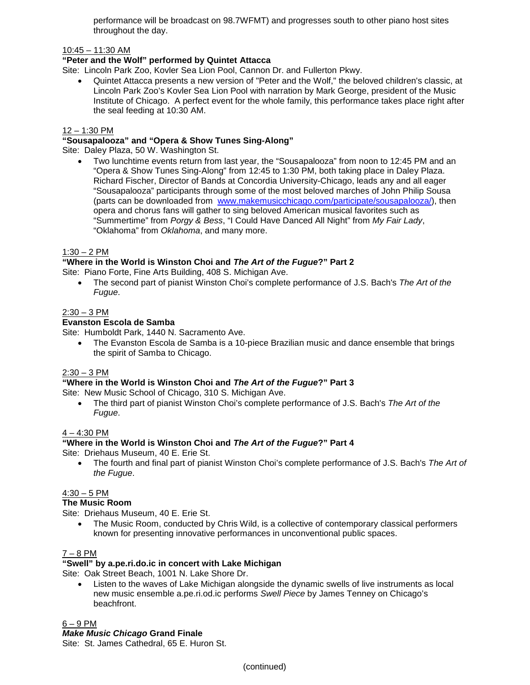performance will be broadcast on 98.7WFMT) and progresses south to other piano host sites throughout the day.

#### 10:45 – 11:30 AM

#### **"Peter and the Wolf" performed by Quintet Attacca**

Site: Lincoln Park Zoo, Kovler Sea Lion Pool, Cannon Dr. and Fullerton Pkwy.

 Quintet Attacca presents a new version of "Peter and the Wolf," the beloved children's classic, at Lincoln Park Zoo's Kovler Sea Lion Pool with narration by Mark George, president of the Music Institute of Chicago. A perfect event for the whole family, this performance takes place right after the seal feeding at 10:30 AM.

#### 12 – 1:30 PM

#### **"Sousapalooza" and "Opera & Show Tunes Sing-Along"**

Site: Daley Plaza, 50 W. Washington St.

 Two lunchtime events return from last year, the "Sousapalooza" from noon to 12:45 PM and an "Opera & Show Tunes Sing-Along" from 12:45 to 1:30 PM, both taking place in Daley Plaza. Richard Fischer, Director of Bands at Concordia University-Chicago, leads any and all eager "Sousapalooza" participants through some of the most beloved marches of John Philip Sousa (parts can be downloaded from www.makemusicchicago.com/participate/sousapalooza/), then opera and chorus fans will gather to sing beloved American musical favorites such as "Summertime" from *Porgy & Bess*, "I Could Have Danced All Night" from *My Fair Lady*, "Oklahoma" from *Oklahoma*, and many more.

#### $1:30 - 2$  PM

# **"Where in the World is Winston Choi and** *The Art of the Fugue***?" Part 2**

Site: Piano Forte, Fine Arts Building, 408 S. Michigan Ave.

 The second part of pianist Winston Choi's complete performance of J.S. Bach's *The Art of the Fugue*.

#### $2:30 - 3$  PM

#### **Evanston Escola de Samba**

Site: Humboldt Park, 1440 N. Sacramento Ave.

• The Evanston Escola de Samba is a 10-piece Brazilian music and dance ensemble that brings the spirit of Samba to Chicago.

# $2:30 - 3$  PM

# **"Where in the World is Winston Choi and** *The Art of the Fugue***?" Part 3**

Site: New Music School of Chicago, 310 S. Michigan Ave.

 The third part of pianist Winston Choi's complete performance of J.S. Bach's *The Art of the Fugue*.

#### 4 – 4:30 PM

# **"Where in the World is Winston Choi and** *The Art of the Fugue***?" Part 4**

Site: Driehaus Museum, 40 E. Erie St.

 The fourth and final part of pianist Winston Choi's complete performance of J.S. Bach's *The Art of the Fugue*.

#### $4:30 - 5$  PM

### **The Music Room**

Site: Driehaus Museum, 40 E. Erie St.

 The Music Room, conducted by Chris Wild, is a collective of contemporary classical performers known for presenting innovative performances in unconventional public spaces.

#### 7 – 8 PM

# **"Swell" by a.pe.ri.do.ic in concert with Lake Michigan**

Site: Oak Street Beach, 1001 N. Lake Shore Dr.

 Listen to the waves of Lake Michigan alongside the dynamic swells of live instruments as local new music ensemble a.pe.ri.od.ic performs *Swell Piece* by James Tenney on Chicago's beachfront.

6 – 9 PM

#### *Make Music Chicago* **Grand Finale**

Site: St. James Cathedral, 65 E. Huron St.